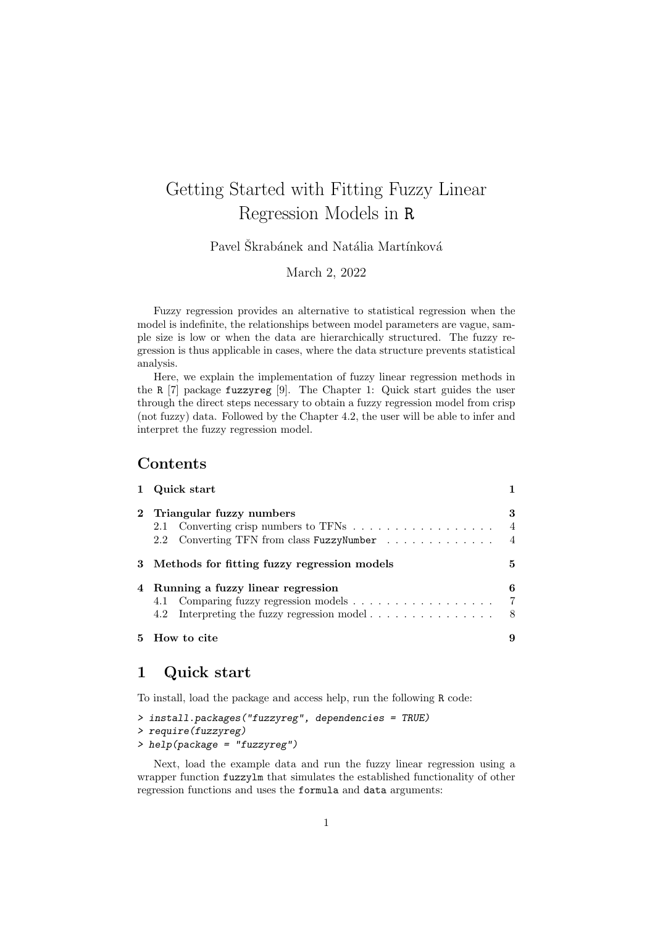# Getting Started with Fitting Fuzzy Linear Regression Models in R

Pavel Škrabánek and Natália Martínková

March 2, 2022

Fuzzy regression provides an alternative to statistical regression when the model is indefinite, the relationships between model parameters are vague, sample size is low or when the data are hierarchically structured. The fuzzy regression is thus applicable in cases, where the data structure prevents statistical analysis.

Here, we explain the implementation of fuzzy linear regression methods in the R [7] package fuzzyreg [9]. The Chapter 1: Quick start guides the user through the direct steps necessary to obtain a fuzzy regression model from crisp (not fuzzy) data. Followed by the Chapter 4.2, the user will be able to infer and interpret the fuzzy regression model.

## Contents

| 1 Quick start                                                                      |                                       |  |  |  |
|------------------------------------------------------------------------------------|---------------------------------------|--|--|--|
| 2 Triangular fuzzy numbers<br>2.2 Converting TFN from class FuzzyNumber            | 3<br>$\overline{4}$<br>$\overline{4}$ |  |  |  |
| 3 Methods for fitting fuzzy regression models                                      | 5                                     |  |  |  |
| 4 Running a fuzzy linear regression<br>4.2 Interpreting the fuzzy regression model | 6<br>$\overline{7}$<br>- 8            |  |  |  |
| 5 How to cite                                                                      | 9                                     |  |  |  |

## 1 Quick start

To install, load the package and access help, run the following R code:

| > install.packages("fuzzyreg", dependencies = TRUE) |  |  |
|-----------------------------------------------------|--|--|
| > require(fuzzyreg)                                 |  |  |
| $\geq$ help(package = "fuzzyreg")                   |  |  |

Next, load the example data and run the fuzzy linear regression using a wrapper function fuzzylm that simulates the established functionality of other regression functions and uses the formula and data arguments: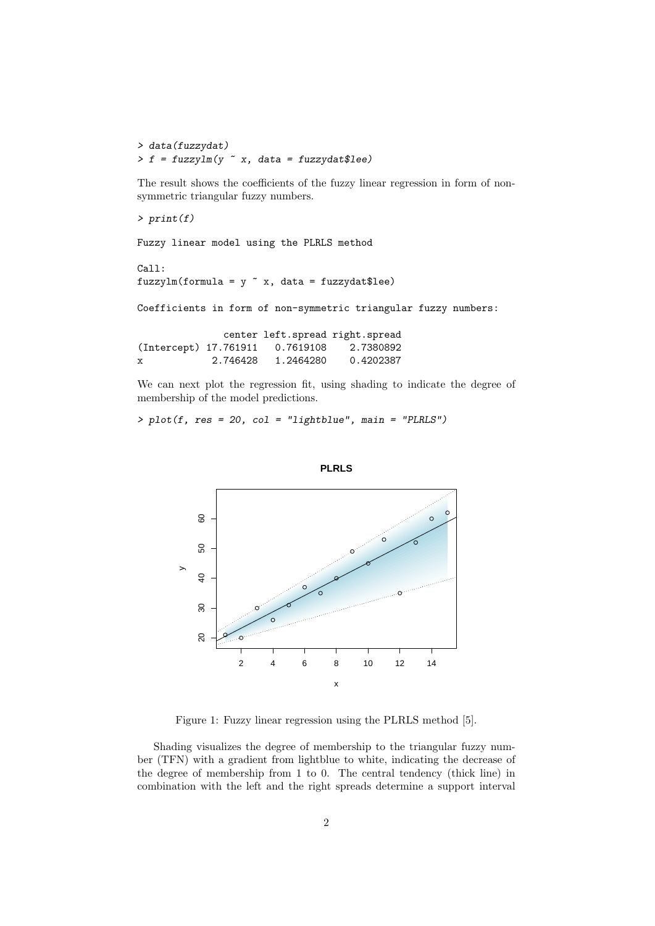> data(fuzzydat)  $> f = fuzzylm(y \text{ x}, data = fuzzydata)$ 

The result shows the coefficients of the fuzzy linear regression in form of nonsymmetric triangular fuzzy numbers.

 $> print(f)$ Fuzzy linear model using the PLRLS method Call: fuzzylm(formula =  $y$   $x$ , data = fuzzydat\$lee) Coefficients in form of non-symmetric triangular fuzzy numbers: center left.spread right.spread (Intercept) 17.761911 0.7619108 2.7380892 x 2.746428 1.2464280 0.4202387

We can next plot the regression fit, using shading to indicate the degree of membership of the model predictions.

 $> plot(f, res = 20, col = "lightblue", main = "PLRLS")$ 





Figure 1: Fuzzy linear regression using the PLRLS method [5].

Shading visualizes the degree of membership to the triangular fuzzy number (TFN) with a gradient from lightblue to white, indicating the decrease of the degree of membership from 1 to 0. The central tendency (thick line) in combination with the left and the right spreads determine a support interval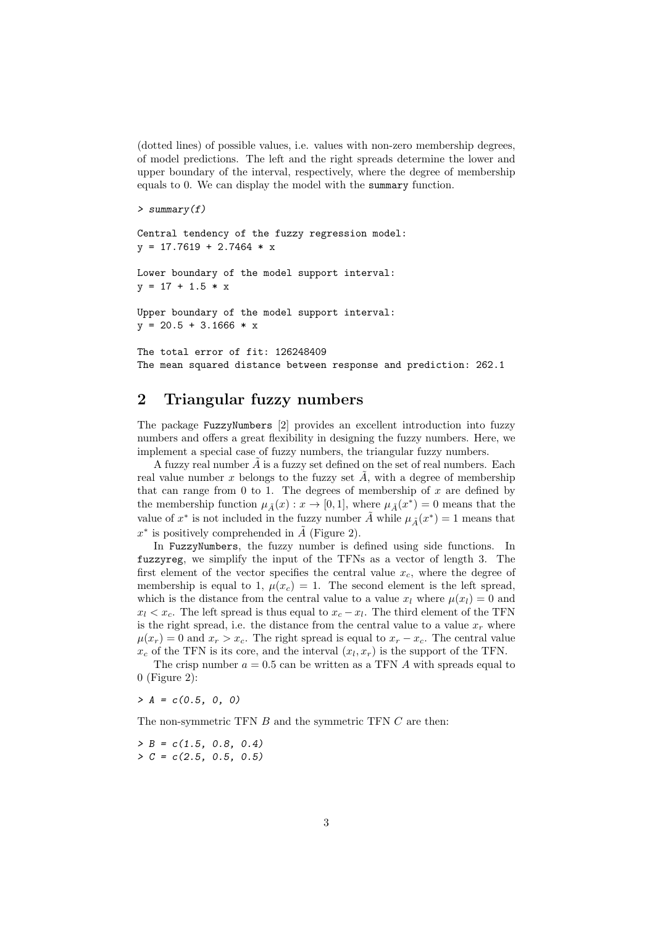(dotted lines) of possible values, i.e. values with non-zero membership degrees, of model predictions. The left and the right spreads determine the lower and upper boundary of the interval, respectively, where the degree of membership equals to 0. We can display the model with the summary function.

```
> summary(f)
```

```
Central tendency of the fuzzy regression model:
y = 17.7619 + 2.7464 * x
```

```
Lower boundary of the model support interval:
y = 17 + 1.5 * x
```
Upper boundary of the model support interval:  $y = 20.5 + 3.1666 * x$ 

The total error of fit: 126248409 The mean squared distance between response and prediction: 262.1

#### 2 Triangular fuzzy numbers

The package FuzzyNumbers [2] provides an excellent introduction into fuzzy numbers and offers a great flexibility in designing the fuzzy numbers. Here, we implement a special case of fuzzy numbers, the triangular fuzzy numbers.

A fuzzy real number  $A$  is a fuzzy set defined on the set of real numbers. Each real value number x belongs to the fuzzy set  $\tilde{A}$ , with a degree of membership that can range from  $0$  to  $1$ . The degrees of membership of  $x$  are defined by the membership function  $\mu_{\tilde{A}}(x) : x \to [0,1]$ , where  $\mu_{\tilde{A}}(x^*) = 0$  means that the value of  $x^*$  is not included in the fuzzy number  $\tilde{A}$  while  $\mu_{\tilde{A}}(x^*)=1$  means that  $x^*$  is positively comprehended in  $\tilde{A}$  (Figure 2).

In FuzzyNumbers, the fuzzy number is defined using side functions. In fuzzyreg, we simplify the input of the TFNs as a vector of length 3. The first element of the vector specifies the central value  $x_c$ , where the degree of membership is equal to 1,  $\mu(x_c) = 1$ . The second element is the left spread, which is the distance from the central value to a value  $x_l$  where  $\mu(x_l) = 0$  and  $x_l < x_c$ . The left spread is thus equal to  $x_c - x_l$ . The third element of the TFN is the right spread, i.e. the distance from the central value to a value  $x_r$  where  $\mu(x_r) = 0$  and  $x_r > x_c$ . The right spread is equal to  $x_r - x_c$ . The central value  $x_c$  of the TFN is its core, and the interval  $(x_l, x_r)$  is the support of the TFN.

The crisp number  $a = 0.5$  can be written as a TFN A with spreads equal to 0 (Figure 2):

 $> A = c(0.5, 0, 0)$ 

The non-symmetric TFN B and the symmetric TFN C are then:

 $> B = c(1.5, 0.8, 0.4)$  $> C = c(2.5, 0.5, 0.5)$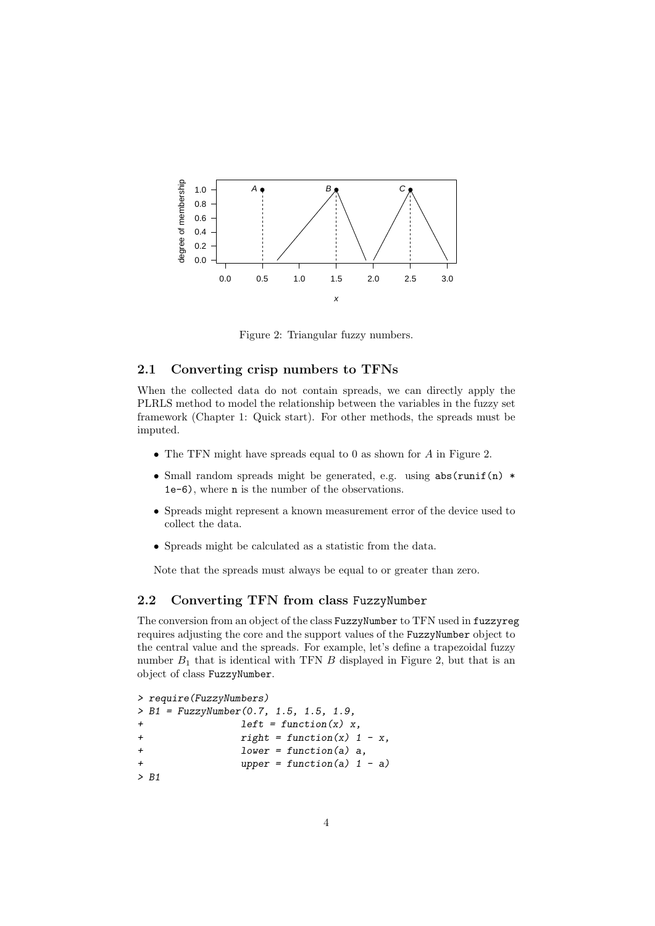

Figure 2: Triangular fuzzy numbers.

#### 2.1 Converting crisp numbers to TFNs

When the collected data do not contain spreads, we can directly apply the PLRLS method to model the relationship between the variables in the fuzzy set framework (Chapter 1: Quick start). For other methods, the spreads must be imputed.

- The TFN might have spreads equal to 0 as shown for A in Figure 2.
- Small random spreads might be generated, e.g. using abs(runif(n) \* 1e-6), where n is the number of the observations.
- Spreads might represent a known measurement error of the device used to collect the data.
- Spreads might be calculated as a statistic from the data.

Note that the spreads must always be equal to or greater than zero.

#### 2.2 Converting TFN from class FuzzyNumber

The conversion from an object of the class FuzzyNumber to TFN used in fuzzyreg requires adjusting the core and the support values of the FuzzyNumber object to the central value and the spreads. For example, let's define a trapezoidal fuzzy number  $B_1$  that is identical with TFN  $B$  displayed in Figure 2, but that is an object of class FuzzyNumber.

```
> require(FuzzyNumbers)
> B1 = FuzzyNumber(0.7, 1.5, 1.5, 1.9,
+ left = function(x) x,
+ right = function(x) 1 - x,
+ lower = function(a) a,
+ upper = function(a) 1 - a)
> B1
```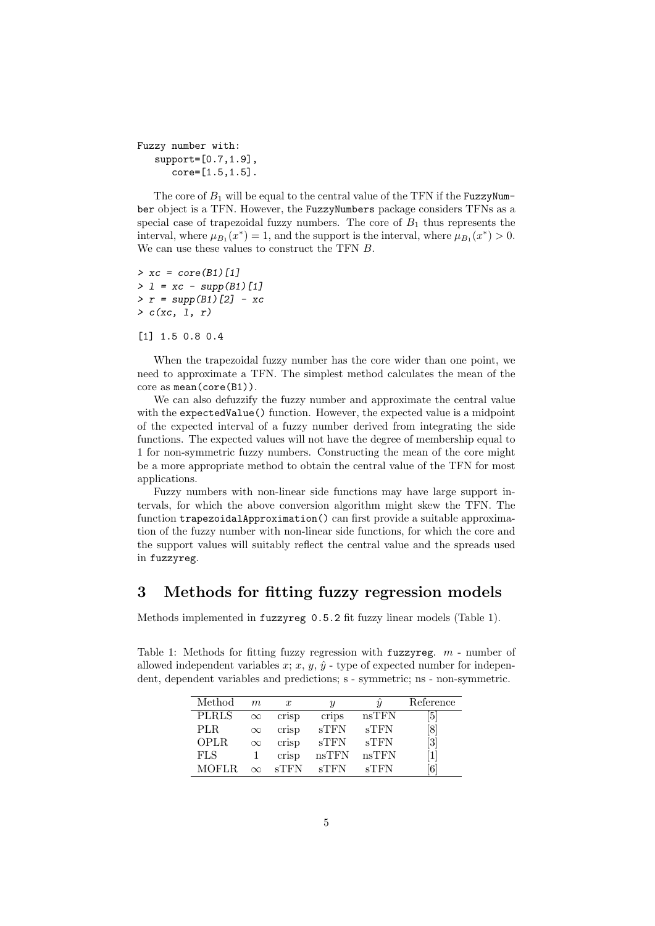```
Fuzzy number with:
   support=[0.7,1.9],
      core=[1.5,1.5].
```
The core of  $B_1$  will be equal to the central value of the TFN if the FuzzyNumber object is a TFN. However, the FuzzyNumbers package considers TFNs as a special case of trapezoidal fuzzy numbers. The core of  $B_1$  thus represents the interval, where  $\mu_{B_1}(x^*) = 1$ , and the support is the interval, where  $\mu_{B_1}(x^*) > 0$ . We can use these values to construct the TFN B.

 $> xc = core(B1)[1]$  $> 1 = xc - supp(B1)[1]$  $> r = supp(B1)[2] - xc$  $> c(xc, 1, r)$ 

[1] 1.5 0.8 0.4

When the trapezoidal fuzzy number has the core wider than one point, we need to approximate a TFN. The simplest method calculates the mean of the core as mean(core(B1)).

We can also defuzzify the fuzzy number and approximate the central value with the expectedValue() function. However, the expected value is a midpoint of the expected interval of a fuzzy number derived from integrating the side functions. The expected values will not have the degree of membership equal to 1 for non-symmetric fuzzy numbers. Constructing the mean of the core might be a more appropriate method to obtain the central value of the TFN for most applications.

Fuzzy numbers with non-linear side functions may have large support intervals, for which the above conversion algorithm might skew the TFN. The function trapezoidalApproximation() can first provide a suitable approximation of the fuzzy number with non-linear side functions, for which the core and the support values will suitably reflect the central value and the spreads used in fuzzyreg.

## 3 Methods for fitting fuzzy regression models

Methods implemented in fuzzyreg 0.5.2 fit fuzzy linear models (Table 1).

Table 1: Methods for fitting fuzzy regression with fuzzyreg.  $m$  - number of allowed independent variables x; x, y,  $\hat{y}$  - type of expected number for independent, dependent variables and predictions; s - symmetric; ns - non-symmetric.

| Method       | m        | $\boldsymbol{x}$ |                 |                 | Reference         |
|--------------|----------|------------------|-----------------|-----------------|-------------------|
| <b>PLRLS</b> | $\infty$ | crisp            | crips           | nsTFN           | $5\vert$          |
| PLR.         | $\infty$ | crisp            | sTFN            | sTFN            | $\lvert 8 \rvert$ |
| <b>OPLR</b>  | $\infty$ | crisp            | $\mathrm{sTFN}$ | sTFN            | 3                 |
| <b>FLS</b>   |          | crisp            | nsTFN           | nsTFN           |                   |
| <b>MOFLR</b> | $\infty$ | $_{\rm s}$ TFN   | $_{\rm s}$ TFN  | $\mathrm{sTFN}$ | 6                 |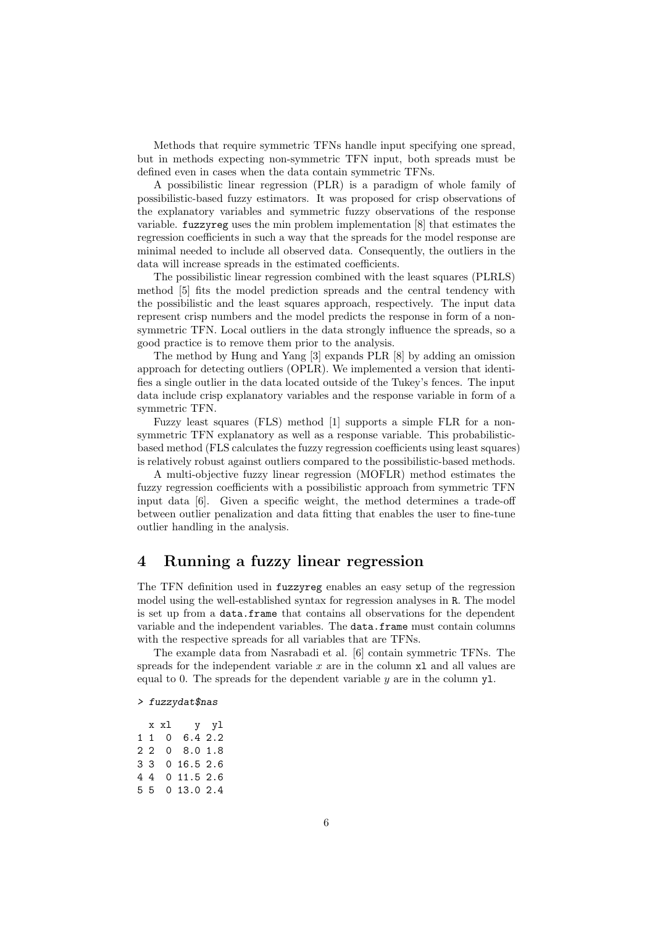Methods that require symmetric TFNs handle input specifying one spread, but in methods expecting non-symmetric TFN input, both spreads must be defined even in cases when the data contain symmetric TFNs.

A possibilistic linear regression (PLR) is a paradigm of whole family of possibilistic-based fuzzy estimators. It was proposed for crisp observations of the explanatory variables and symmetric fuzzy observations of the response variable. fuzzyreg uses the min problem implementation [8] that estimates the regression coefficients in such a way that the spreads for the model response are minimal needed to include all observed data. Consequently, the outliers in the data will increase spreads in the estimated coefficients.

The possibilistic linear regression combined with the least squares (PLRLS) method [5] fits the model prediction spreads and the central tendency with the possibilistic and the least squares approach, respectively. The input data represent crisp numbers and the model predicts the response in form of a nonsymmetric TFN. Local outliers in the data strongly influence the spreads, so a good practice is to remove them prior to the analysis.

The method by Hung and Yang [3] expands PLR [8] by adding an omission approach for detecting outliers (OPLR). We implemented a version that identifies a single outlier in the data located outside of the Tukey's fences. The input data include crisp explanatory variables and the response variable in form of a symmetric TFN.

Fuzzy least squares (FLS) method [1] supports a simple FLR for a nonsymmetric TFN explanatory as well as a response variable. This probabilisticbased method (FLS calculates the fuzzy regression coefficients using least squares) is relatively robust against outliers compared to the possibilistic-based methods.

A multi-objective fuzzy linear regression (MOFLR) method estimates the fuzzy regression coefficients with a possibilistic approach from symmetric TFN input data [6]. Given a specific weight, the method determines a trade-off between outlier penalization and data fitting that enables the user to fine-tune outlier handling in the analysis.

#### 4 Running a fuzzy linear regression

The TFN definition used in fuzzyreg enables an easy setup of the regression model using the well-established syntax for regression analyses in R. The model is set up from a data.frame that contains all observations for the dependent variable and the independent variables. The data.frame must contain columns with the respective spreads for all variables that are TFNs.

The example data from Nasrabadi et al. [6] contain symmetric TFNs. The spreads for the independent variable  $x$  are in the column  $x1$  and all values are equal to 0. The spreads for the dependent variable  $y$  are in the column  $y1$ .

#### > fuzzydat\$nas

|  | x xl | y yl           |  |
|--|------|----------------|--|
|  | 110  | 6.42.2         |  |
|  |      | 2 2 0 8.0 1.8  |  |
|  |      | 3 3 0 16.5 2.6 |  |
|  |      | 4 4 0 11.5 2.6 |  |
|  |      | 5 5 0 13.0 2.4 |  |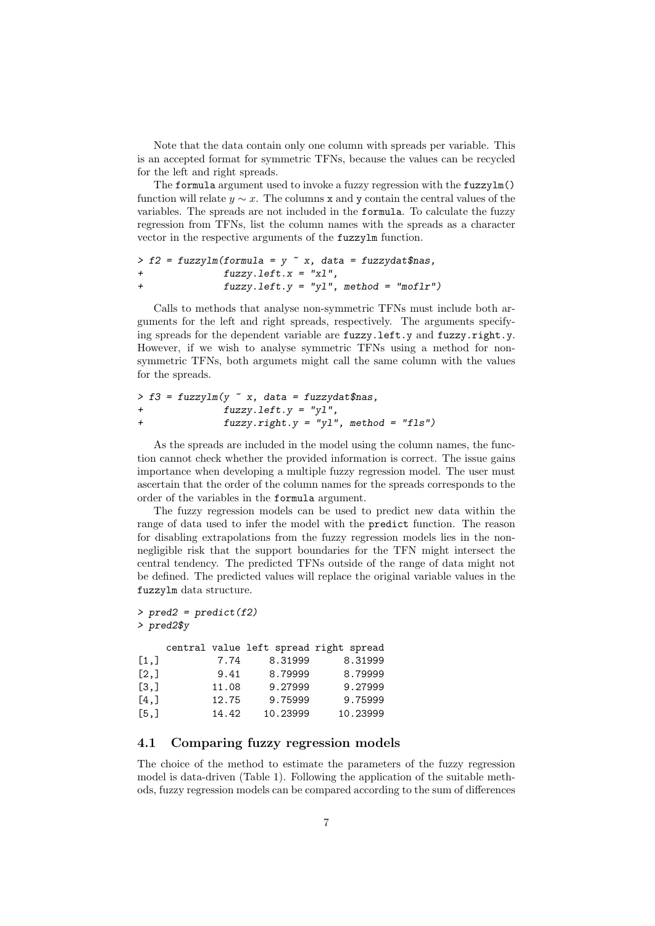Note that the data contain only one column with spreads per variable. This is an accepted format for symmetric TFNs, because the values can be recycled for the left and right spreads.

The formula argument used to invoke a fuzzy regression with the fuzzylm() function will relate  $y \sim x$ . The columns x and y contain the central values of the variables. The spreads are not included in the formula. To calculate the fuzzy regression from TFNs, list the column names with the spreads as a character vector in the respective arguments of the fuzzylm function.

```
> f2 = fuzzyIm(formal) = y \times x, data = fuzzydat$nas,
+ fuzzy.left.x = "xl",
+ fuzzy.left.y = "yl", method = "moflr")
```
Calls to methods that analyse non-symmetric TFNs must include both arguments for the left and right spreads, respectively. The arguments specifying spreads for the dependent variable are fuzzy.left.y and fuzzy.right.y. However, if we wish to analyse symmetric TFNs using a method for nonsymmetric TFNs, both argumets might call the same column with the values for the spreads.

```
> f3 = fuzzylm(y \text{ x}, data = fuzzydata,+ fuzzy. left.y = "y1",+ fuzzy.right.y = "yl", method = "fls")
```
As the spreads are included in the model using the column names, the function cannot check whether the provided information is correct. The issue gains importance when developing a multiple fuzzy regression model. The user must ascertain that the order of the column names for the spreads corresponds to the order of the variables in the formula argument.

The fuzzy regression models can be used to predict new data within the range of data used to infer the model with the predict function. The reason for disabling extrapolations from the fuzzy regression models lies in the nonnegligible risk that the support boundaries for the TFN might intersect the central tendency. The predicted TFNs outside of the range of data might not be defined. The predicted values will replace the original variable values in the fuzzylm data structure.

```
> pred2 = predict(f2)> pred2$y
   central value left spread right spread
[1,] 7.74 8.31999 8.31999
           [2,] 9.41 8.79999 8.79999
[3,] 11.08 9.27999 9.27999
```
## 4.1 Comparing fuzzy regression models

[4,] 12.75 9.75999 9.75999 [5,] 14.42 10.23999 10.23999

The choice of the method to estimate the parameters of the fuzzy regression model is data-driven (Table 1). Following the application of the suitable methods, fuzzy regression models can be compared according to the sum of differences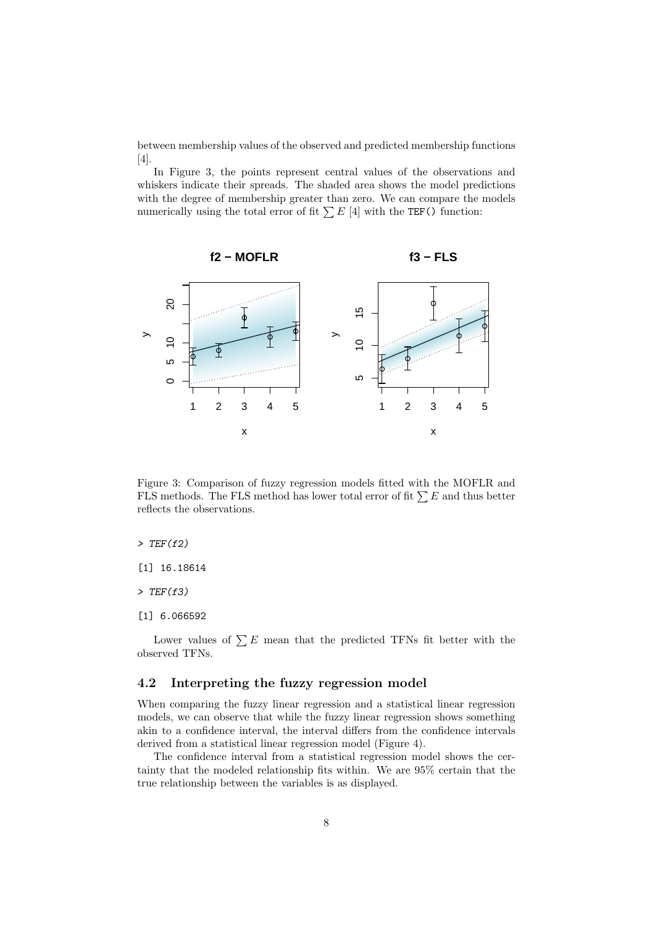between membership values of the observed and predicted membership functions  $[4]$ 

In Figure 3, the points represent central values of the observations and whiskers indicate their spreads. The shaded area shows the model predictions with the degree of membership greater than zero. We can compare the models numerically using the total error of fit  $\sum E$  [4] with the TEF() function:



Figure 3: Comparison of fuzzy regression models fitted with the MOFLR and FLS methods. The FLS method has lower total error of fit  $\sum E$  and thus better reflects the observations.

#### $>$  TEF(f2)

[1] 16.18614

 $>$  TEF(f3)

[1] 6.066592

Lower values of  $\sum E$  mean that the predicted TFNs fit better with the observed TFNs.

#### 4.2 Interpreting the fuzzy regression model

When comparing the fuzzy linear regression and a statistical linear regression models, we can observe that while the fuzzy linear regression shows something akin to a confidence interval, the interval differs from the confidence intervals derived from a statistical linear regression model (Figure 4).

The confidence interval from a statistical regression model shows the certainty that the modeled relationship fits within. We are 95% certain that the true relationship between the variables is as displayed.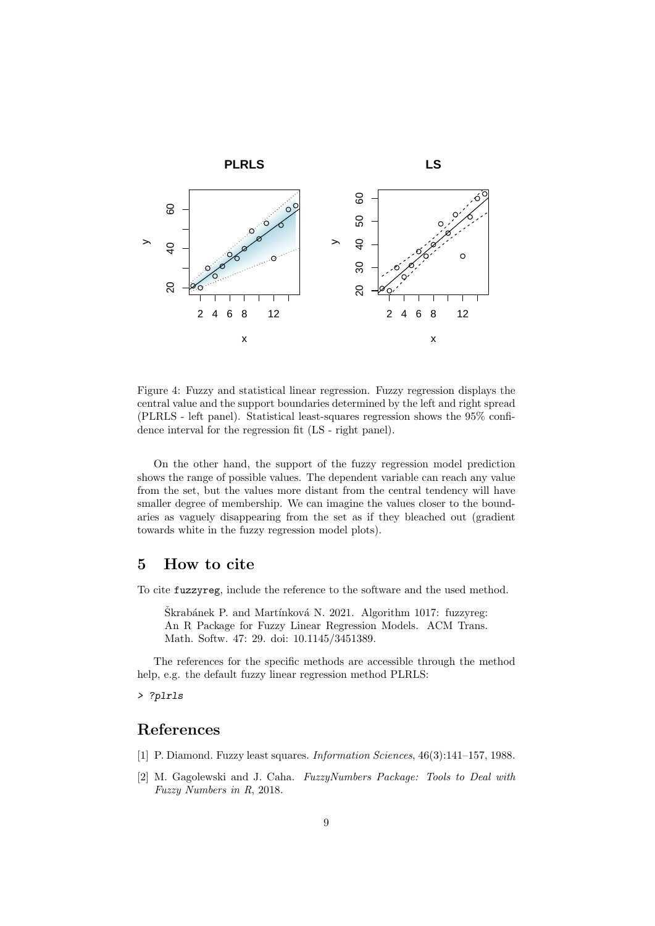

Figure 4: Fuzzy and statistical linear regression. Fuzzy regression displays the central value and the support boundaries determined by the left and right spread (PLRLS - left panel). Statistical least-squares regression shows the 95% confidence interval for the regression fit (LS - right panel).

On the other hand, the support of the fuzzy regression model prediction shows the range of possible values. The dependent variable can reach any value from the set, but the values more distant from the central tendency will have smaller degree of membership. We can imagine the values closer to the boundaries as vaguely disappearing from the set as if they bleached out (gradient towards white in the fuzzy regression model plots).

## 5 How to cite

To cite fuzzyreg, include the reference to the software and the used method.

Škrabánek P. and Martínková N. 2021. Algorithm 1017: fuzzyreg: An R Package for Fuzzy Linear Regression Models. ACM Trans. Math. Softw. 47: 29. doi: 10.1145/3451389.

The references for the specific methods are accessible through the method help, e.g. the default fuzzy linear regression method PLRLS:

> ?plrls

## References

- [1] P. Diamond. Fuzzy least squares. Information Sciences, 46(3):141–157, 1988.
- [2] M. Gagolewski and J. Caha. FuzzyNumbers Package: Tools to Deal with Fuzzy Numbers in R, 2018.